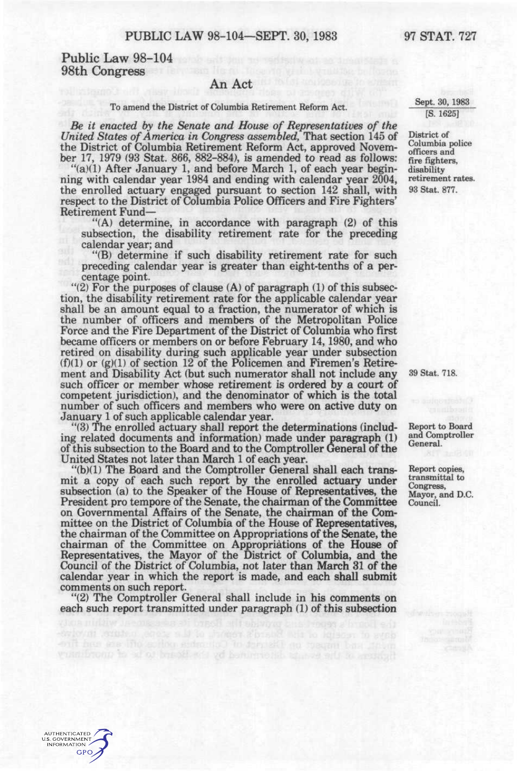## Public Law 98-104 98th Congress

## An Act

## To amend the District of Columbia Retirement Reform Act.

*Be it enacted by the Senate and House of Representatives of the United States of America in Congress assembled,* That section 145 of the District of Columbia Retirement Reform Act, approved November 17, 1979 (93 Stat. 866, 882-884), is amended to read as follows:

"(a)(1) After January 1, and before March 1, of each year beginning with calendar year 1984 and ending with calendar year 2004, the enrolled actuary engaged pursuant to section 142 shall, with respect to the District of Columbia Police Officers and Fire Fighters' Retirement Fund—

"(A) determine, in accordance with paragraph (2) of this subsection, the disability retirement rate for the preceding calendar year; and

"(B) determine if such disability retirement rate for such preceding calendar year is greater than eight-tenths of a percentage point.

"(2) For the purposes of clause (A) of paragraph (1) of this subsection, the disability retirement rate for the applicable calendar year shall be an amount equal to a fraction, the numerator of which is the number of officers and members of the Metropolitan Police Force and the Fire Department of the District of Columbia who first became officers or members on or before February 14,1980, and who retired on disability during such applicable year under subsection (f)(1) or (g)(1) of section 12 of the Policemen and Firemen's Retirement and Disability Act (but such numerator shall not include any such officer or member whose retirement is ordered by a court of competent jurisdiction), and the denominator of which is the total number of such officers and members who were on active duty on January 1 of such applicable calendar year.

"(3) The enrolled actuary shall report the determinations (including related documents and information) made under paragraph (1) of this subsection to the Board and to the Comptroller General of the United States not later than March 1 of each year.

"(b)(1) The Board and the Comptroller General shall each transmit a copy of each such report by the enrolled actuary under subsection (a) to the Speaker of the House of Representatives, the President pro tempore of the Senate, the chairman of the Committee on Governmental Affairs of the Senate, the chairman of the Committee on the District of Columbia of the House of Representatives, the chairman of the Committee on Appropriations of the Senate, the chairman of the Committee on Appropriations of the House of Representatives, the Mayor of the District of Columbia, and the Council of the District of Columbia, not later than March 31 of the calendar year in which the report is made, and each shall submit comments on such report.

"(2) The Comptroller General shall include in his comments on each such report transmitted under paragraph (1) of this subsection

function of the set of breating of bottleries in a set to around

Sept. 30, 1983 [S. 1625]

District of Columbia police officers and fire fighters, disability retirement rates. 93 Stat. 877.

39 Stat. 718.

Report to Board and Comptroller General.

Report copies, transmittal to Congress, Mayor, and D.C. Council.

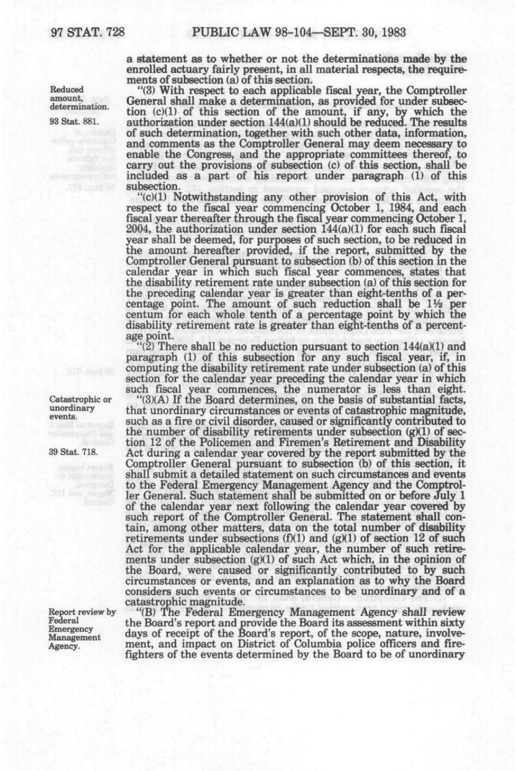a statement as to whether or not the determinations **made by the** 

Reduced amount, determination.

93 Stat. 881.

enrolled actuary fairly present, in all material respects, the requirements of subsection (a) of this section. "(3) With respect to each applicable fiscal year, the Comptroller General shall make a determination, as provided for under subsection (c)(1) of this section of the amount, if any, by which the authorization under section 144(a)(1) should be reduced. The results

of such determination, together with such other data, information, and comments as the Comptroller General may deem necessary to enable the Congress, and the appropriate committees thereof, to carry out the provisions of subsection (c) of this section, shall be included as a part of his report under paragraph (1) of this subsection.

"(c)(1) Notwithstanding any other provision of this Act, with respect to the fiscal year commencing October 1, 1984, and each fiscal year thereafter through the fiscal year commencing October 1, 2004, the authorization under section 144(a)(1) for each such fiscal year shall be deemed, for purposes of such section, to be reduced in the amount hereafter provided, if the report, submitted by the Comptroller General pursuant to subsection (b) of this section in the calendar year in which such fiscal year commences, states that the disability retirement rate under subsection (a) of this section for the preceding calendar year is greater than eight-tenths of a percentage point. The amount of such reduction shall be 11/2 per centum for each whole tenth of a percentage point by which the disability retirement rate is greater than eight-tenths of a percentage point.

"(2) There shall be no reduction pursuant to section 144(a)(1) and paragraph (1) of this subsection for any such fiscal year, if, in computing the disability retirement rate under subsection (a) of this section for the calendar year preceding the calendar year in which such fiscal year commences, the numerator is less than eight.

"(3)(A) If the Board determines, on the basis of substantial facts, that unordinary circumstances or events of catastrophic magnitude, such as a fire or civil disorder, caused or significantly contributed to the number of disability retirements under subsection  $(g)(1)$  of section 12 of the Policemen and Firemen's Retirement and Disability Act during a calendar year covered by the report submitted by the Comptroller General pursuant to subsection (b) of this section, it shall submit a detailed statement on such circumstances and events to the Federal Emergency Management Agency and the Comptroller General. Such statement shall be submitted on or before July 1 of the calendar year next following the calendar year covered by such report of the Comptroller General. The statement shall contain, among other matters, data on the total number of disability retirements under subsections  $(f)(1)$  and  $(g)(1)$  of section 12 of such Act for the applicable calendar year, the number of such retirements under subsection (g)(1) of such Act which, in the opinion of the Board, were caused or significantly contributed to by such circumstances or events, and an explanation as to why the Board considers such events or circumstances to be unordinary and of a catastrophic magnitude.

"(B) The Federal Emergency Management Agency shall review the Board's report and provide the Board its assessment within sixty days of receipt of the Board's report, of the scope, nature, involvement, and impact on District of Columbia police officers and firefighters of the events determined by the Board to be of unordinary

Catastrophic or unordinary events.

39 Stat. 718.

Mayon and D.C.<br>Comail

Report review by Federal Emergency Management Agency.